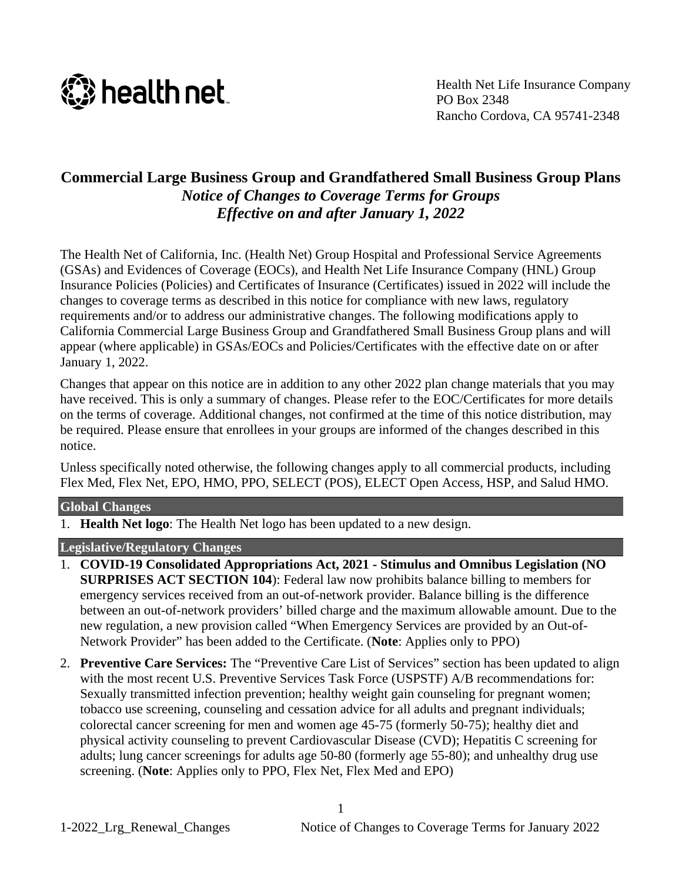

Health Net Life Insurance Company PO Box 2348 Rancho Cordova, CA 95741-2348

# **Commercial Large Business Group and Grandfathered Small Business Group Plans** *Notice of Changes to Coverage Terms for Groups Effective on and after January 1, 2022*

The Health Net of California, Inc. (Health Net) Group Hospital and Professional Service Agreements (GSAs) and Evidences of Coverage (EOCs), and Health Net Life Insurance Company (HNL) Group Insurance Policies (Policies) and Certificates of Insurance (Certificates) issued in 2022 will include the changes to coverage terms as described in this notice for compliance with new laws, regulatory requirements and/or to address our administrative changes. The following modifications apply to California Commercial Large Business Group and Grandfathered Small Business Group plans and will appear (where applicable) in GSAs/EOCs and Policies/Certificates with the effective date on or after January 1, 2022.

Changes that appear on this notice are in addition to any other 2022 plan change materials that you may have received. This is only a summary of changes. Please refer to the EOC/Certificates for more details on the terms of coverage. Additional changes, not confirmed at the time of this notice distribution, may be required. Please ensure that enrollees in your groups are informed of the changes described in this notice.

Unless specifically noted otherwise, the following changes apply to all commercial products, including Flex Med, Flex Net, EPO, HMO, PPO, SELECT (POS), ELECT Open Access, HSP, and Salud HMO.

### **Global Changes**

1. **Health Net logo**: The Health Net logo has been updated to a new design.

## **Legislative/Regulatory Changes**

- 1. **COVID-19 Consolidated Appropriations Act, 2021 - Stimulus and Omnibus Legislation (NO SURPRISES ACT SECTION 104**): Federal law now prohibits balance billing to members for emergency services received from an out-of-network provider. Balance billing is the difference between an out-of-network providers' billed charge and the maximum allowable amount. Due to the new regulation, a new provision called "When Emergency Services are provided by an Out-of-Network Provider" has been added to the Certificate. (**Note**: Applies only to PPO)
- 2. **Preventive Care Services:** The "Preventive Care List of Services" section has been updated to align with the most recent U.S. Preventive Services Task Force (USPSTF) A/B recommendations for: Sexually transmitted infection prevention; healthy weight gain counseling for pregnant women; tobacco use screening, counseling and cessation advice for all adults and pregnant individuals; colorectal cancer screening for men and women age 45-75 (formerly 50-75); healthy diet and physical activity counseling to prevent Cardiovascular Disease (CVD); Hepatitis C screening for adults; lung cancer screenings for adults age 50-80 (formerly age 55-80); and unhealthy drug use screening. (**Note**: Applies only to PPO, Flex Net, Flex Med and EPO)